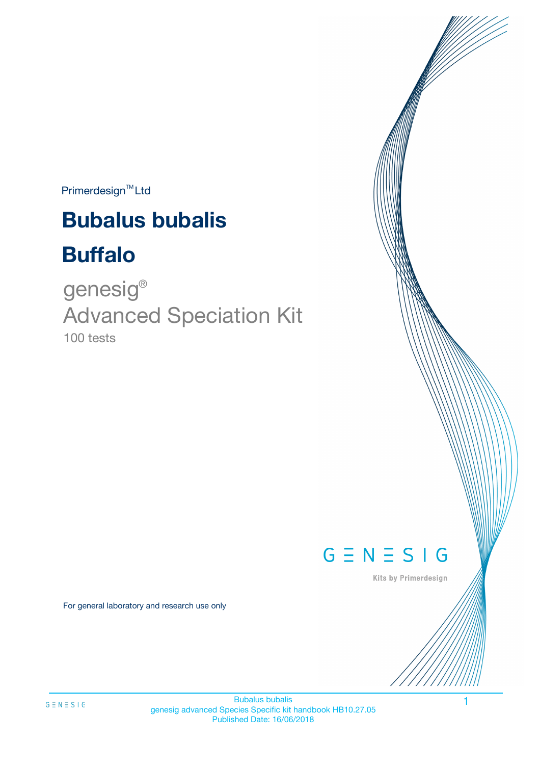$Primerdesign^{\text{TM}}$ Ltd

# **Bubalus bubalis**

# **Buffalo**

100 tests genesig ® Advanced Speciation Kit



Kits by Primerdesign

For general laboratory and research use only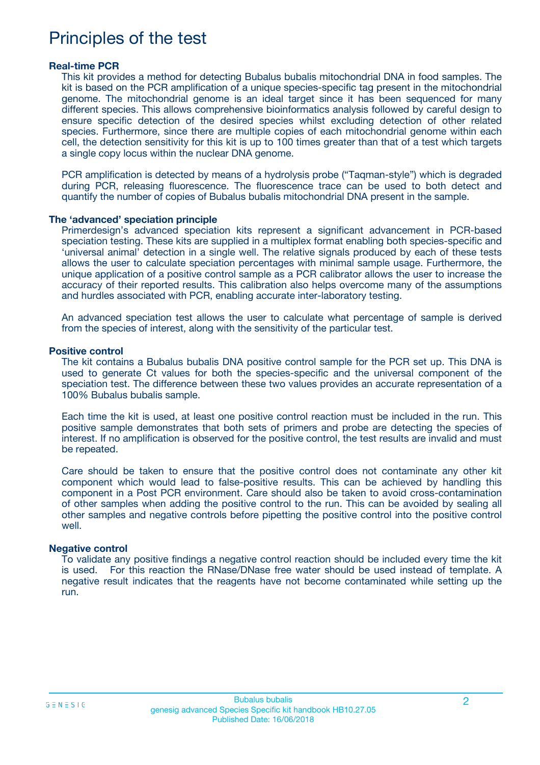### Principles of the test

#### **Real-time PCR**

This kit provides a method for detecting Bubalus bubalis mitochondrial DNA in food samples. The kit is based on the PCR amplification of a unique species-specific tag present in the mitochondrial genome. The mitochondrial genome is an ideal target since it has been sequenced for many different species. This allows comprehensive bioinformatics analysis followed by careful design to ensure specific detection of the desired species whilst excluding detection of other related species. Furthermore, since there are multiple copies of each mitochondrial genome within each cell, the detection sensitivity for this kit is up to 100 times greater than that of a test which targets a single copy locus within the nuclear DNA genome.

PCR amplification is detected by means of a hydrolysis probe ("Taqman-style") which is degraded during PCR, releasing fluorescence. The fluorescence trace can be used to both detect and quantify the number of copies of Bubalus bubalis mitochondrial DNA present in the sample.

#### **The 'advanced' speciation principle**

Primerdesign's advanced speciation kits represent a significant advancement in PCR-based speciation testing. These kits are supplied in a multiplex format enabling both species-specific and 'universal animal' detection in a single well. The relative signals produced by each of these tests allows the user to calculate speciation percentages with minimal sample usage. Furthermore, the unique application of a positive control sample as a PCR calibrator allows the user to increase the accuracy of their reported results. This calibration also helps overcome many of the assumptions and hurdles associated with PCR, enabling accurate inter-laboratory testing.

An advanced speciation test allows the user to calculate what percentage of sample is derived from the species of interest, along with the sensitivity of the particular test.

#### **Positive control**

The kit contains a Bubalus bubalis DNA positive control sample for the PCR set up. This DNA is used to generate Ct values for both the species-specific and the universal component of the speciation test. The difference between these two values provides an accurate representation of a 100% Bubalus bubalis sample.

Each time the kit is used, at least one positive control reaction must be included in the run. This positive sample demonstrates that both sets of primers and probe are detecting the species of interest. If no amplification is observed for the positive control, the test results are invalid and must be repeated.

Care should be taken to ensure that the positive control does not contaminate any other kit component which would lead to false-positive results. This can be achieved by handling this component in a Post PCR environment. Care should also be taken to avoid cross-contamination of other samples when adding the positive control to the run. This can be avoided by sealing all other samples and negative controls before pipetting the positive control into the positive control well.

#### **Negative control**

To validate any positive findings a negative control reaction should be included every time the kit is used. For this reaction the RNase/DNase free water should be used instead of template. A negative result indicates that the reagents have not become contaminated while setting up the run.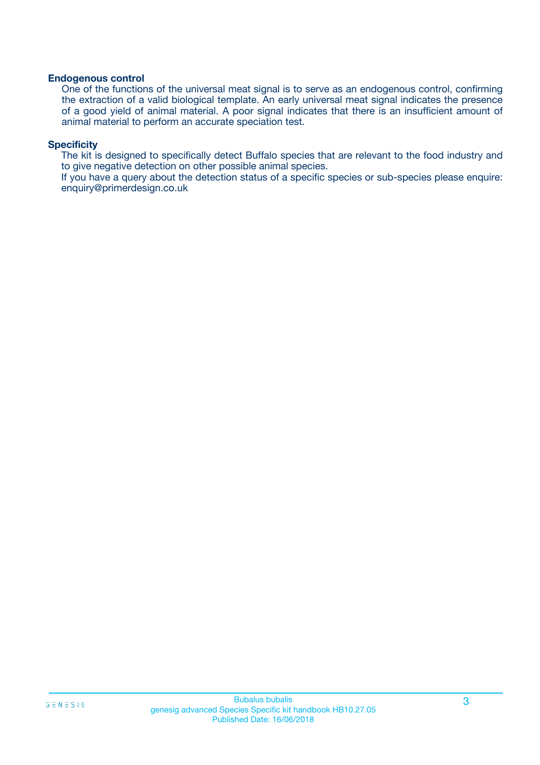#### **Endogenous control**

One of the functions of the universal meat signal is to serve as an endogenous control, confirming the extraction of a valid biological template. An early universal meat signal indicates the presence of a good yield of animal material. A poor signal indicates that there is an insufficient amount of animal material to perform an accurate speciation test.

#### **Specificity**

The kit is designed to specifically detect Buffalo species that are relevant to the food industry and to give negative detection on other possible animal species.

If you have a query about the detection status of a specific species or sub-species please enquire: enquiry@primerdesign.co.uk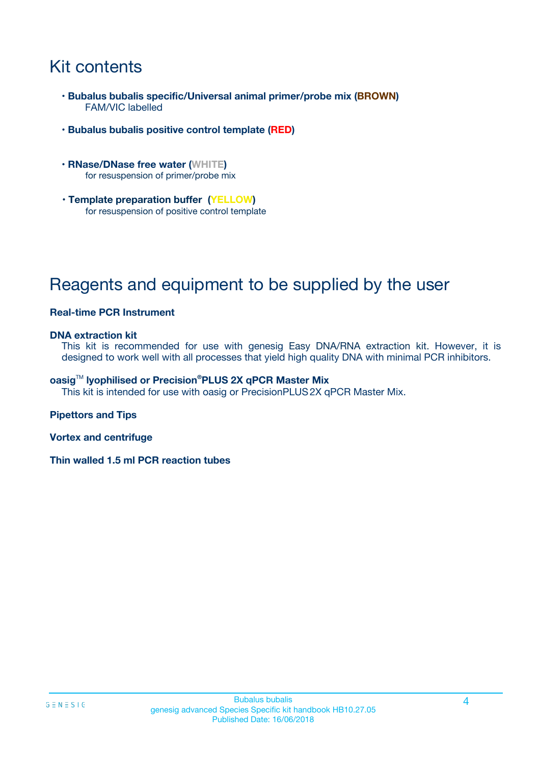## Kit contents

- **Bubalus bubalis specific/Universal animal primer/probe mix (BROWN)** FAM/VIC labelled
- **Bubalus bubalis positive control template (RED)**
- **RNase/DNase free water (WHITE)** for resuspension of primer/probe mix
- **Template preparation buffer (YELLOW)** for resuspension of positive control template

# Reagents and equipment to be supplied by the user

#### **Real-time PCR Instrument**

#### **DNA extraction kit**

This kit is recommended for use with genesig Easy DNA/RNA extraction kit. However, it is designed to work well with all processes that yield high quality DNA with minimal PCR inhibitors.

#### **oasig**TM **lyophilised or Precision®PLUS 2X qPCR Master Mix**

This kit is intended for use with oasig or PrecisionPLUS2X qPCR Master Mix.

#### **Pipettors and Tips**

**Vortex and centrifuge**

**Thin walled 1.5 ml PCR reaction tubes**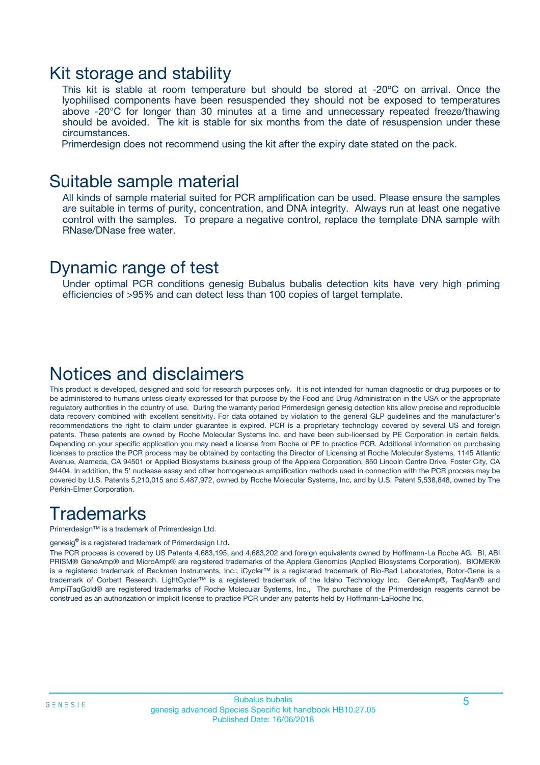### Kit storage and stability

This kit is stable at room temperature but should be stored at -20ºC on arrival. Once the lyophilised components have been resuspended they should not be exposed to temperatures above -20°C for longer than 30 minutes at a time and unnecessary repeated freeze/thawing should be avoided. The kit is stable for six months from the date of resuspension under these circumstances.

Primerdesign does not recommend using the kit after the expiry date stated on the pack.

### Suitable sample material

All kinds of sample material suited for PCR amplification can be used. Please ensure the samples are suitable in terms of purity, concentration, and DNA integrity. Always run at least one negative control with the samples. To prepare a negative control, replace the template DNA sample with RNase/DNase free water.

### Dynamic range of test

Under optimal PCR conditions genesig Bubalus bubalis detection kits have very high priming efficiencies of >95% and can detect less than 100 copies of target template.

### Notices and disclaimers

This product is developed, designed and sold for research purposes only. It is not intended for human diagnostic or drug purposes or to be administered to humans unless clearly expressed for that purpose by the Food and Drug Administration in the USA or the appropriate regulatory authorities in the country of use. During the warranty period Primerdesign genesig detection kits allow precise and reproducible data recovery combined with excellent sensitivity. For data obtained by violation to the general GLP guidelines and the manufacturer's recommendations the right to claim under guarantee is expired. PCR is a proprietary technology covered by several US and foreign patents. These patents are owned by Roche Molecular Systems Inc. and have been sub-licensed by PE Corporation in certain fields. Depending on your specific application you may need a license from Roche or PE to practice PCR. Additional information on purchasing licenses to practice the PCR process may be obtained by contacting the Director of Licensing at Roche Molecular Systems, 1145 Atlantic Avenue, Alameda, CA 94501 or Applied Biosystems business group of the Applera Corporation, 850 Lincoln Centre Drive, Foster City, CA 94404. In addition, the 5' nuclease assay and other homogeneous amplification methods used in connection with the PCR process may be covered by U.S. Patents 5,210,015 and 5,487,972, owned by Roche Molecular Systems, Inc, and by U.S. Patent 5,538,848, owned by The Perkin-Elmer Corporation.

### **Trademarks**

Primerdesign™ is a trademark of Primerdesign Ltd.

genesig**®** is a registered trademark of Primerdesign Ltd.

The PCR process is covered by US Patents 4,683,195, and 4,683,202 and foreign equivalents owned by Hoffmann-La Roche AG. BI, ABI PRISM® GeneAmp® and MicroAmp® are registered trademarks of the Applera Genomics (Applied Biosystems Corporation). BIOMEK® is a registered trademark of Beckman Instruments, Inc.; iCycler™ is a registered trademark of Bio-Rad Laboratories, Rotor-Gene is a trademark of Corbett Research. LightCycler™ is a registered trademark of the Idaho Technology Inc. GeneAmp®, TaqMan® and AmpliTaqGold® are registered trademarks of Roche Molecular Systems, Inc., The purchase of the Primerdesign reagents cannot be construed as an authorization or implicit license to practice PCR under any patents held by Hoffmann-LaRoche Inc.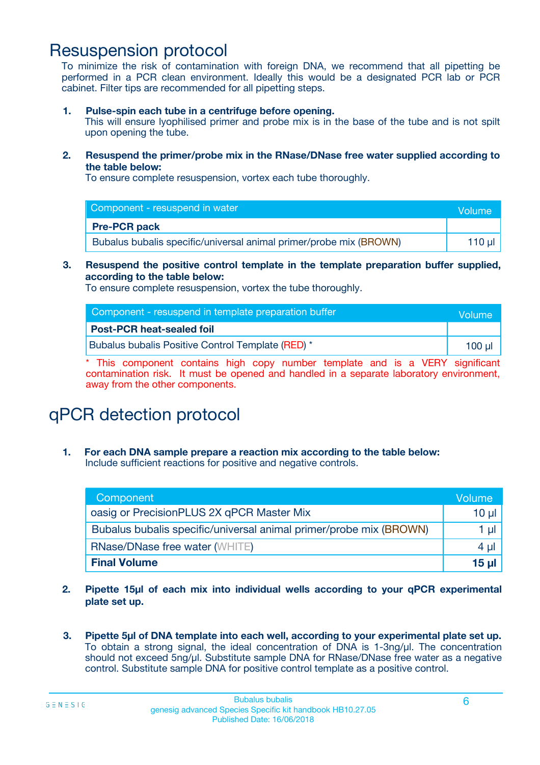### Resuspension protocol

To minimize the risk of contamination with foreign DNA, we recommend that all pipetting be performed in a PCR clean environment. Ideally this would be a designated PCR lab or PCR cabinet. Filter tips are recommended for all pipetting steps.

**1. Pulse-spin each tube in a centrifuge before opening.**

This will ensure lyophilised primer and probe mix is in the base of the tube and is not spilt upon opening the tube.

**2. Resuspend the primer/probe mix in the RNase/DNase free water supplied according to the table below:**

To ensure complete resuspension, vortex each tube thoroughly.

| Component - resuspend in water                                     | <b>Nolume</b> |
|--------------------------------------------------------------------|---------------|
| <b>Pre-PCR pack</b>                                                |               |
| Bubalus bubalis specific/universal animal primer/probe mix (BROWN) | 110 µl        |

#### **3. Resuspend the positive control template in the template preparation buffer supplied, according to the table below:**

To ensure complete resuspension, vortex the tube thoroughly.

| Component - resuspend in template preparation buffer | Volume |
|------------------------------------------------------|--------|
| <b>Post-PCR heat-sealed foil</b>                     |        |
| Bubalus bubalis Positive Control Template (RED) *    | 100 ul |

\* This component contains high copy number template and is a VERY significant contamination risk. It must be opened and handled in a separate laboratory environment, away from the other components.

# qPCR detection protocol

**1. For each DNA sample prepare a reaction mix according to the table below:** Include sufficient reactions for positive and negative controls.

| Component                                                          | Volume   |
|--------------------------------------------------------------------|----------|
| oasig or PrecisionPLUS 2X qPCR Master Mix                          | $10 \mu$ |
| Bubalus bubalis specific/universal animal primer/probe mix (BROWN) | 1 µl     |
| <b>RNase/DNase free water (WHITE)</b>                              | 4 µl     |
| <b>Final Volume</b>                                                | 15 ul    |

- **2. Pipette 15µl of each mix into individual wells according to your qPCR experimental plate set up.**
- **3. Pipette 5µl of DNA template into each well, according to your experimental plate set up.** To obtain a strong signal, the ideal concentration of DNA is 1-3ng/µl. The concentration should not exceed 5ng/µl. Substitute sample DNA for RNase/DNase free water as a negative control. Substitute sample DNA for positive control template as a positive control.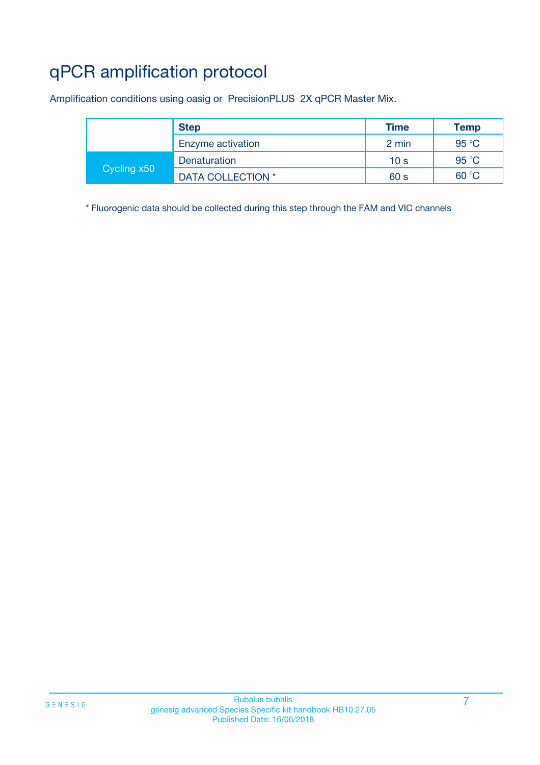# qPCR amplification protocol

Amplification conditions using oasig or PrecisionPLUS 2X qPCR Master Mix.

|             | <b>Step</b>       | <b>Time</b>     | <b>Temp</b> |
|-------------|-------------------|-----------------|-------------|
|             | Enzyme activation | 2 min           | 95 °C       |
| Cycling x50 | Denaturation      | 10 <sub>s</sub> | 95 °C       |
|             | DATA COLLECTION * | 60 s            | 60 °C       |

\* Fluorogenic data should be collected during this step through the FAM and VIC channels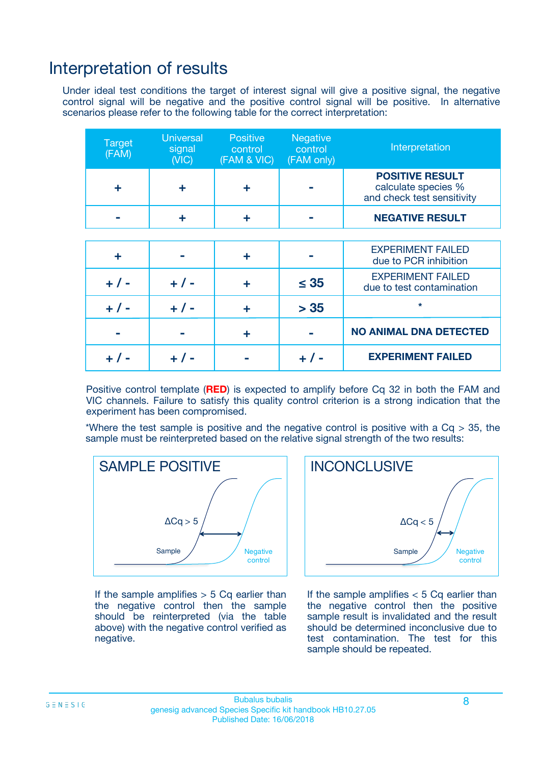### Interpretation of results

Under ideal test conditions the target of interest signal will give a positive signal, the negative control signal will be negative and the positive control signal will be positive. In alternative scenarios please refer to the following table for the correct interpretation:

| <b>Target</b><br>(FAM) | <b>Universal</b><br>signal<br>(NIC) | <b>Positive</b><br>control<br>(FAM & VIC) | <b>Negative</b><br>control<br>(FAM only) | Interpretation                                                              |
|------------------------|-------------------------------------|-------------------------------------------|------------------------------------------|-----------------------------------------------------------------------------|
| ÷                      | ÷                                   | ÷                                         |                                          | <b>POSITIVE RESULT</b><br>calculate species %<br>and check test sensitivity |
|                        |                                     | ÷                                         |                                          | <b>NEGATIVE RESULT</b>                                                      |
|                        |                                     |                                           |                                          |                                                                             |
| ÷                      |                                     | ÷                                         |                                          | <b>EXPERIMENT FAILED</b><br>due to PCR inhibition                           |
| $+$ / -                | $+ 1 -$                             | ٠                                         | $\leq 35$                                | <b>EXPERIMENT FAILED</b><br>due to test contamination                       |
| $+ 1 -$                | $+ 1 -$                             | ÷                                         | > 35                                     | $\star$                                                                     |
|                        |                                     | ÷                                         |                                          | <b>NO ANIMAL DNA DETECTED</b>                                               |
|                        |                                     |                                           | + / -                                    | <b>EXPERIMENT FAILED</b>                                                    |

Positive control template (**RED**) is expected to amplify before Cq 32 in both the FAM and VIC channels. Failure to satisfy this quality control criterion is a strong indication that the experiment has been compromised.

\*Where the test sample is positive and the negative control is positive with a  $Cq > 35$ , the sample must be reinterpreted based on the relative signal strength of the two results:



If the sample amplifies  $> 5$  Cq earlier than the negative control then the sample should be reinterpreted (via the table above) with the negative control verified as negative.



If the sample amplifies  $< 5$  Cq earlier than the negative control then the positive sample result is invalidated and the result should be determined inconclusive due to test contamination. The test for this sample should be repeated.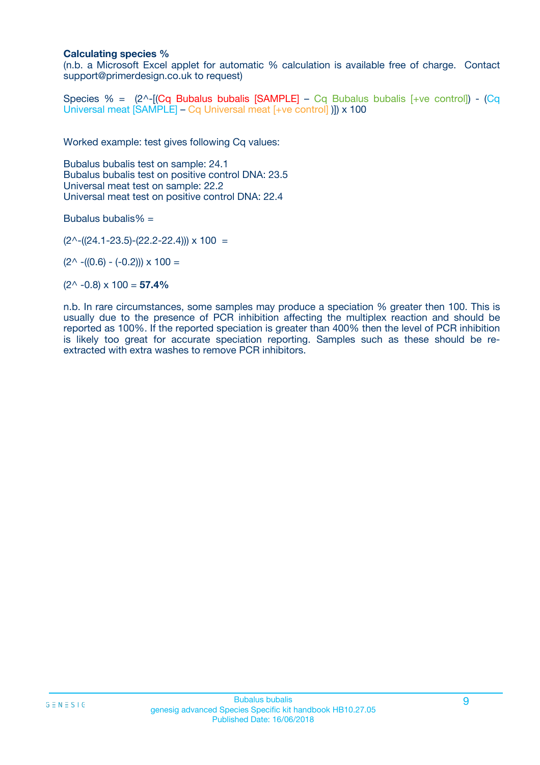#### **Calculating species %**

(n.b. a Microsoft Excel applet for automatic % calculation is available free of charge. Contact support@primerdesign.co.uk to request)

Species % =  $(2^{\wedge}$ -[**(Cq Bubalus bubalis [SAMPLE]** – Cq Bubalus bubalis [+ve control]) - **(Cq** Universal meat [SAMPLE] – Cq Universal meat [+ve control] )]) x 100

Worked example: test gives following Cq values:

Bubalus bubalis test on sample: 24.1 Bubalus bubalis test on positive control DNA: 23.5 Universal meat test on sample: 22.2 Universal meat test on positive control DNA: 22.4

Bubalus bubalis%  $=$ 

 $(2^{\wedge}-(24.1-23.5)-(22.2-22.4))) \times 100 =$ 

 $(2^{\wedge}$  -((0.6) - (-0.2)))  $\times$  100 =

 $(2^{\wedge}$  -0.8)  $\times$  100 = **57.4%** 

n.b. In rare circumstances, some samples may produce a speciation % greater then 100. This is usually due to the presence of PCR inhibition affecting the multiplex reaction and should be reported as 100%. If the reported speciation is greater than 400% then the level of PCR inhibition is likely too great for accurate speciation reporting. Samples such as these should be reextracted with extra washes to remove PCR inhibitors.